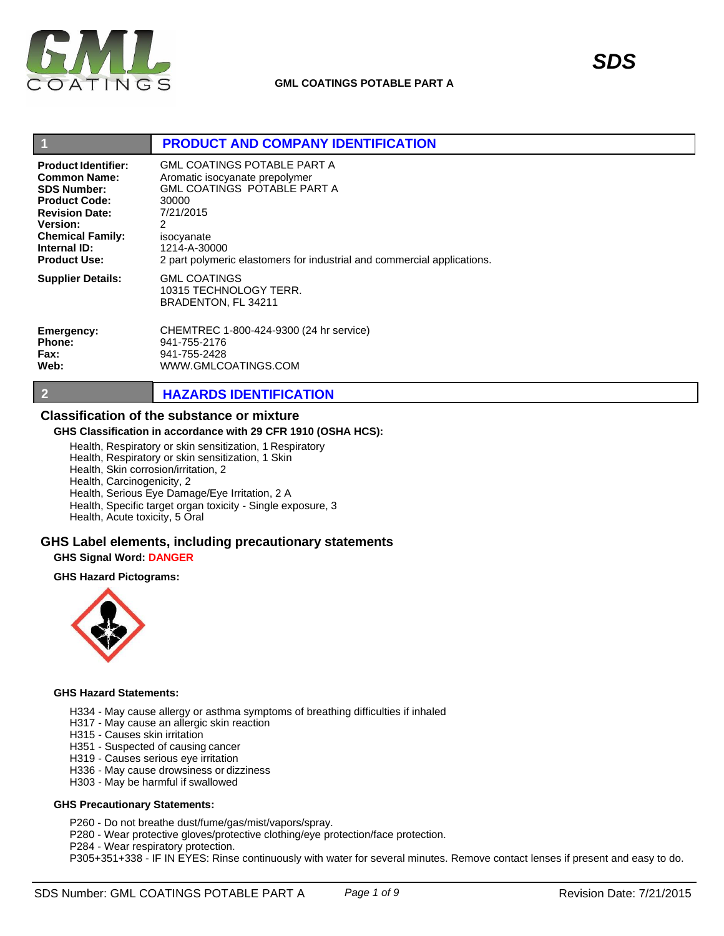

| И                          | <b>PRODUCT AND COMPANY IDENTIFICATION</b>                               |
|----------------------------|-------------------------------------------------------------------------|
| <b>Product Identifier:</b> | GML COATINGS POTABLE PART A                                             |
| <b>Common Name:</b>        | Aromatic isocyanate prepolymer                                          |
| <b>SDS Number:</b>         | GML COATINGS POTABLE PART A                                             |
| <b>Product Code:</b>       | 30000                                                                   |
| <b>Revision Date:</b>      | 7/21/2015                                                               |
| <b>Version:</b>            | 2                                                                       |
| <b>Chemical Family:</b>    | isocyanate                                                              |
| Internal ID:               | 1214-A-30000                                                            |
| <b>Product Use:</b>        | 2 part polymeric elastomers for industrial and commercial applications. |
| <b>Supplier Details:</b>   | <b>GML COATINGS</b><br>10315 TECHNOLOGY TERR.<br>BRADENTON, FL 34211    |
| Emergency:                 | CHEMTREC 1-800-424-9300 (24 hr service)                                 |
| Phone:                     | 941-755-2176                                                            |
| Fax:                       | 941-755-2428                                                            |
| Web:                       | WWW.GMLCOATINGS.COM                                                     |

# **2 HAZARDS IDENTIFICATION**

# **Classification of the substance or mixture**

### **GHS Classification in accordance with 29 CFR 1910 (OSHA HCS):**

Health, Respiratory or skin sensitization, 1 Respiratory

Health, Respiratory or skin sensitization, 1 Skin

Health, Skin corrosion/irritation, 2

Health, Carcinogenicity, 2

Health, Serious Eye Damage/Eye Irritation, 2 A

Health, Specific target organ toxicity - Single exposure, 3

Health, Acute toxicity, 5 Oral

## **GHS Label elements, including precautionary statements**

#### **GHS Signal Word: DANGER**

### **GHS Hazard Pictograms:**



## **GHS Hazard Statements:**

- H334 May cause allergy or asthma symptoms of breathing difficulties if inhaled
- H317 May cause an allergic skin reaction
- H315 Causes skin irritation
- H351 Suspected of causing cancer
- H319 Causes serious eye irritation
- H336 May cause drowsiness or dizziness
- H303 May be harmful if swallowed

#### **GHS Precautionary Statements:**

P260 - Do not breathe dust/fume/gas/mist/vapors/spray.

- P280 Wear protective gloves/protective clothing/eye protection/face protection.
- P284 Wear respiratory protection.
- P305+351+338 IF IN EYES: Rinse continuously with water for several minutes. Remove contact lenses if present and easy to do.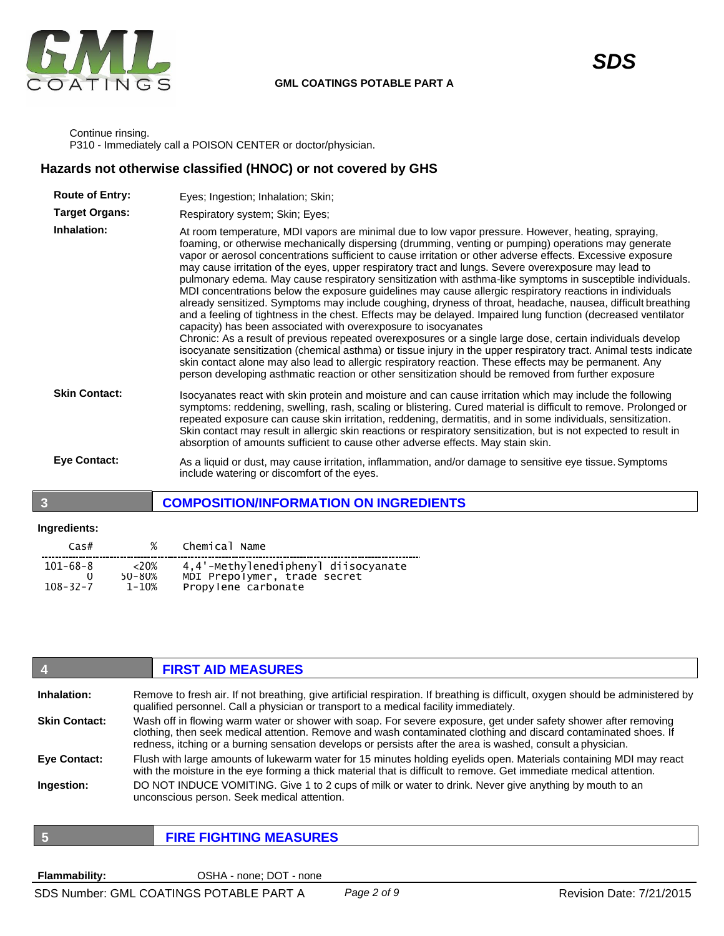

Continue rinsing. P310 - Immediately call a POISON CENTER or doctor/physician.

# **Hazards not otherwise classified (HNOC) or not covered by GHS**

| <b>Route of Entry:</b> | Eyes; Ingestion; Inhalation; Skin;                                                                                                                                                                                                                                                                                                                                                                                                                                                                                                                                                                                                                                                                                                                                                                                                                                                                                                                                                                                                                                                                                                                                                                                                                                                                                                                                                                                 |
|------------------------|--------------------------------------------------------------------------------------------------------------------------------------------------------------------------------------------------------------------------------------------------------------------------------------------------------------------------------------------------------------------------------------------------------------------------------------------------------------------------------------------------------------------------------------------------------------------------------------------------------------------------------------------------------------------------------------------------------------------------------------------------------------------------------------------------------------------------------------------------------------------------------------------------------------------------------------------------------------------------------------------------------------------------------------------------------------------------------------------------------------------------------------------------------------------------------------------------------------------------------------------------------------------------------------------------------------------------------------------------------------------------------------------------------------------|
| <b>Target Organs:</b>  | Respiratory system; Skin; Eyes;                                                                                                                                                                                                                                                                                                                                                                                                                                                                                                                                                                                                                                                                                                                                                                                                                                                                                                                                                                                                                                                                                                                                                                                                                                                                                                                                                                                    |
| Inhalation:            | At room temperature, MDI vapors are minimal due to low vapor pressure. However, heating, spraying,<br>foaming, or otherwise mechanically dispersing (drumming, venting or pumping) operations may generate<br>vapor or aerosol concentrations sufficient to cause irritation or other adverse effects. Excessive exposure<br>may cause irritation of the eyes, upper respiratory tract and lungs. Severe overexposure may lead to<br>pulmonary edema. May cause respiratory sensitization with asthma-like symptoms in susceptible individuals.<br>MDI concentrations below the exposure guidelines may cause allergic respiratory reactions in individuals<br>already sensitized. Symptoms may include coughing, dryness of throat, headache, nausea, difficult breathing<br>and a feeling of tightness in the chest. Effects may be delayed. Impaired lung function (decreased ventilator<br>capacity) has been associated with overexposure to isocyanates<br>Chronic: As a result of previous repeated overexposures or a single large dose, certain individuals develop<br>isocyanate sensitization (chemical asthma) or tissue injury in the upper respiratory tract. Animal tests indicate<br>skin contact alone may also lead to allergic respiratory reaction. These effects may be permanent. Any<br>person developing asthmatic reaction or other sensitization should be removed from further exposure |
| <b>Skin Contact:</b>   | Isocyanates react with skin protein and moisture and can cause irritation which may include the following<br>symptoms: reddening, swelling, rash, scaling or blistering. Cured material is difficult to remove. Prolonged or<br>repeated exposure can cause skin irritation, reddening, dermatitis, and in some individuals, sensitization.<br>Skin contact may result in allergic skin reactions or respiratory sensitization, but is not expected to result in<br>absorption of amounts sufficient to cause other adverse effects. May stain skin.                                                                                                                                                                                                                                                                                                                                                                                                                                                                                                                                                                                                                                                                                                                                                                                                                                                               |
| <b>Eye Contact:</b>    | As a liquid or dust, may cause irritation, inflammation, and/or damage to sensitive eye tissue. Symptoms<br>include watering or discomfort of the eyes.                                                                                                                                                                                                                                                                                                                                                                                                                                                                                                                                                                                                                                                                                                                                                                                                                                                                                                                                                                                                                                                                                                                                                                                                                                                            |

# **3 COMPOSITION/INFORMATION ON INGREDIENTS**

### **Ingredients:**

| Cas#                       | %                           | Chemical Name                                                                              |
|----------------------------|-----------------------------|--------------------------------------------------------------------------------------------|
| 101-68-8<br>$108 - 32 - 7$ | ${<}20%$<br>50-80%<br>1-10% | 4,4'-Methylenediphenyl diisocyanate<br>MDI Prepolymer, trade secret<br>Propylene carbonate |

|                      | <b>FIRST AID MEASURES</b>                                                                                                                                                                                                                                                                                                                         |
|----------------------|---------------------------------------------------------------------------------------------------------------------------------------------------------------------------------------------------------------------------------------------------------------------------------------------------------------------------------------------------|
| Inhalation:          | Remove to fresh air. If not breathing, give artificial respiration. If breathing is difficult, oxygen should be administered by<br>qualified personnel. Call a physician or transport to a medical facility immediately.                                                                                                                          |
| <b>Skin Contact:</b> | Wash off in flowing warm water or shower with soap. For severe exposure, get under safety shower after removing<br>clothing, then seek medical attention. Remove and wash contaminated clothing and discard contaminated shoes. If<br>redness, itching or a burning sensation develops or persists after the area is washed, consult a physician. |
| <b>Eve Contact:</b>  | Flush with large amounts of lukewarm water for 15 minutes holding eyelids open. Materials containing MDI may react<br>with the moisture in the eye forming a thick material that is difficult to remove. Get immediate medical attention.                                                                                                         |
| Ingestion:           | DO NOT INDUCE VOMITING. Give 1 to 2 cups of milk or water to drink. Never give anything by mouth to an<br>unconscious person. Seek medical attention.                                                                                                                                                                                             |

|  | I |  |
|--|---|--|
|  | I |  |

# **5 FIRE FIGHTING MEASURES**

**Flammability:** OSHA - none; DOT - none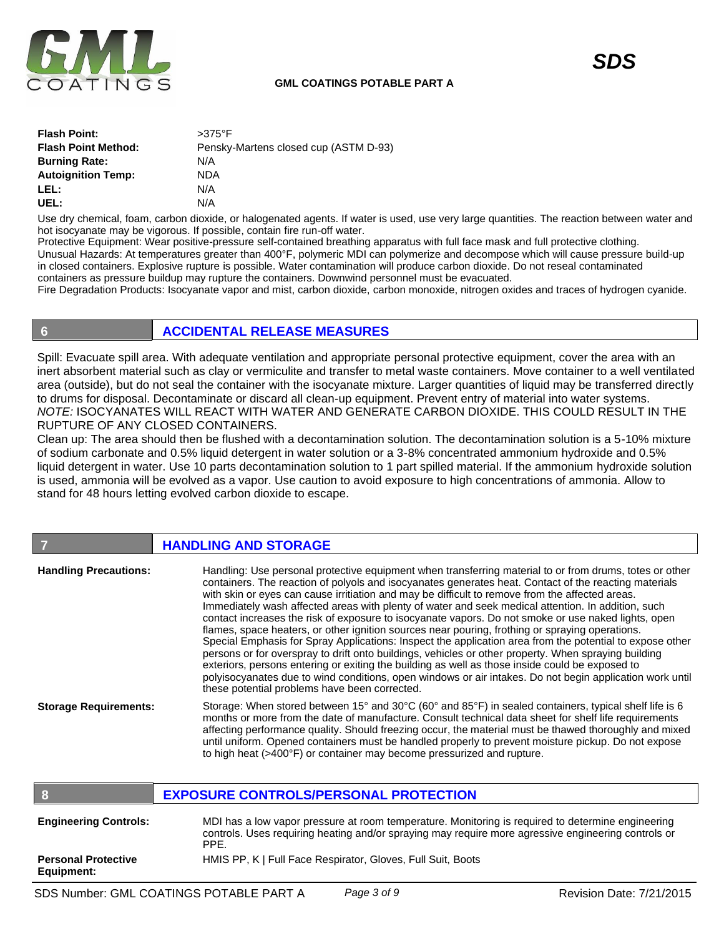

| <b>Flash Point:</b>        | $>375^\circ$ F                        |
|----------------------------|---------------------------------------|
| <b>Flash Point Method:</b> | Pensky-Martens closed cup (ASTM D-93) |
| <b>Burning Rate:</b>       | N/A                                   |
| <b>Autoignition Temp:</b>  | NDA                                   |
| LEL:                       | N/A                                   |
| UEL:                       | N/A                                   |

Use dry chemical, foam, carbon dioxide, or halogenated agents. If water is used, use very large quantities. The reaction between water and hot isocyanate may be vigorous. If possible, contain fire run-off water.

Protective Equipment: Wear positive-pressure self-contained breathing apparatus with full face mask and full protective clothing. Unusual Hazards: At temperatures greater than 400°F, polymeric MDI can polymerize and decompose which will cause pressure build-up in closed containers. Explosive rupture is possible. Water contamination will produce carbon dioxide. Do not reseal contaminated containers as pressure buildup may rupture the containers. Downwind personnel must be evacuated.

Fire Degradation Products: Isocyanate vapor and mist, carbon dioxide, carbon monoxide, nitrogen oxides and traces of hydrogen cyanide.

# **6 ACCIDENTAL RELEASE MEASURES**

Spill: Evacuate spill area. With adequate ventilation and appropriate personal protective equipment, cover the area with an inert absorbent material such as clay or vermiculite and transfer to metal waste containers. Move container to a well ventilated area (outside), but do not seal the container with the isocyanate mixture. Larger quantities of liquid may be transferred directly to drums for disposal. Decontaminate or discard all clean-up equipment. Prevent entry of material into water systems. *NOTE:* ISOCYANATES WILL REACT WITH WATER AND GENERATE CARBON DIOXIDE. THIS COULD RESULT IN THE RUPTURE OF ANY CLOSED CONTAINERS.

Clean up: The area should then be flushed with a decontamination solution. The decontamination solution is a 5-10% mixture of sodium carbonate and 0.5% liquid detergent in water solution or a 3-8% concentrated ammonium hydroxide and 0.5% liquid detergent in water. Use 10 parts decontamination solution to 1 part spilled material. If the ammonium hydroxide solution is used, ammonia will be evolved as a vapor. Use caution to avoid exposure to high concentrations of ammonia. Allow to stand for 48 hours letting evolved carbon dioxide to escape.

# **7 HANDLING AND STORAGE Handling Precautions:** Handling: Use personal protective equipment when transferring material to or from drums, totes or other

| <b>Hallulling Fiecautions.</b> | Handing. Ose personal protective equipment when italisieming material to or from drums, totes or other<br>containers. The reaction of polyols and isocyanates generates heat. Contact of the reacting materials<br>with skin or eyes can cause irritiation and may be difficult to remove from the affected areas.<br>Immediately wash affected areas with plenty of water and seek medical attention. In addition, such<br>contact increases the risk of exposure to isocyanate vapors. Do not smoke or use naked lights, open<br>flames, space heaters, or other ignition sources near pouring, frothing or spraying operations.<br>Special Emphasis for Spray Applications: Inspect the application area from the potential to expose other<br>persons or for overspray to drift onto buildings, vehicles or other property. When spraying building<br>exteriors, persons entering or exiting the building as well as those inside could be exposed to<br>polyisocyanates due to wind conditions, open windows or air intakes. Do not begin application work until<br>these potential problems have been corrected. |
|--------------------------------|------------------------------------------------------------------------------------------------------------------------------------------------------------------------------------------------------------------------------------------------------------------------------------------------------------------------------------------------------------------------------------------------------------------------------------------------------------------------------------------------------------------------------------------------------------------------------------------------------------------------------------------------------------------------------------------------------------------------------------------------------------------------------------------------------------------------------------------------------------------------------------------------------------------------------------------------------------------------------------------------------------------------------------------------------------------------------------------------------------------------|
| <b>Storage Requirements:</b>   | Storage: When stored between 15° and 30°C (60° and 85°F) in sealed containers, typical shelf life is 6<br>months or more from the date of manufacture. Consult technical data sheet for shelf life requirements<br>affecting performance quality. Should freezing occur, the material must be thawed thoroughly and mixed<br>until uniform. Opened containers must be handled properly to prevent moisture pickup. Do not expose<br>to high heat (>400°F) or container may become pressurized and rupture.                                                                                                                                                                                                                                                                                                                                                                                                                                                                                                                                                                                                             |

|                                          | <b>EXPOSURE CONTROLS/PERSONAL PROTECTION</b>                                                                                                                                                                     |
|------------------------------------------|------------------------------------------------------------------------------------------------------------------------------------------------------------------------------------------------------------------|
| <b>Engineering Controls:</b>             | MDI has a low vapor pressure at room temperature. Monitoring is required to determine engineering<br>controls. Uses requiring heating and/or spraying may require more agressive engineering controls or<br>PPE. |
| <b>Personal Protective</b><br>Equipment: | HMIS PP, K   Full Face Respirator, Gloves, Full Suit, Boots                                                                                                                                                      |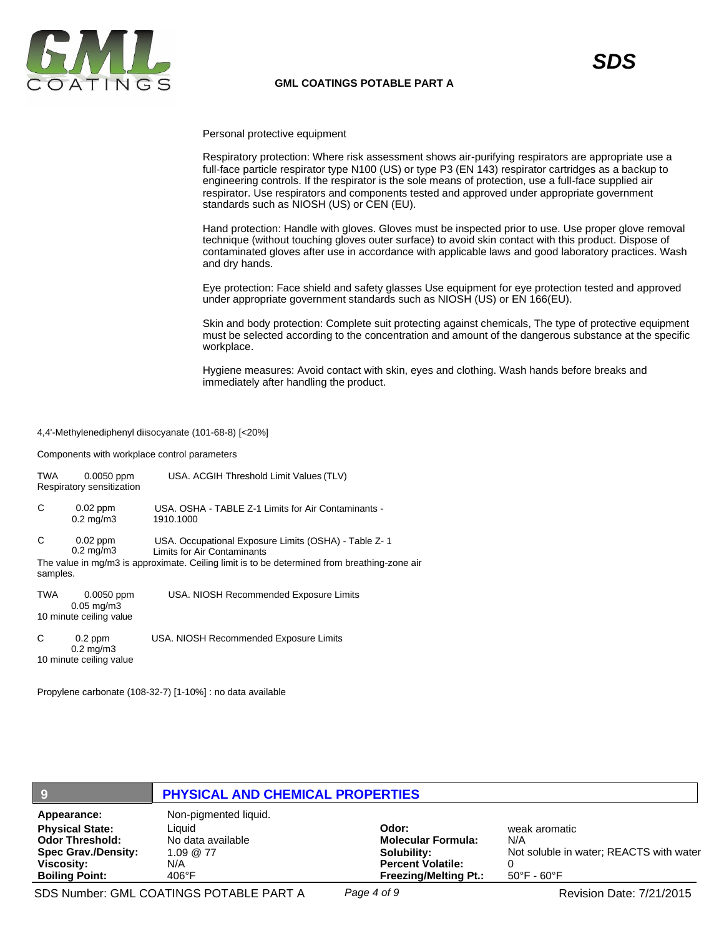

Personal protective equipment

Respiratory protection: Where risk assessment shows air-purifying respirators are appropriate use a full-face particle respirator type N100 (US) or type P3 (EN 143) respirator cartridges as a backup to engineering controls. If the respirator is the sole means of protection, use a full-face supplied air respirator. Use respirators and components tested and approved under appropriate government standards such as NIOSH (US) or CEN (EU).

Hand protection: Handle with gloves. Gloves must be inspected prior to use. Use proper glove removal technique (without touching gloves outer surface) to avoid skin contact with this product. Dispose of contaminated gloves after use in accordance with applicable laws and good laboratory practices. Wash and dry hands.

Eye protection: Face shield and safety glasses Use equipment for eye protection tested and approved under appropriate government standards such as NIOSH (US) or EN 166(EU).

Skin and body protection: Complete suit protecting against chemicals, The type of protective equipment must be selected according to the concentration and amount of the dangerous substance at the specific workplace.

Hygiene measures: Avoid contact with skin, eyes and clothing. Wash hands before breaks and immediately after handling the product.

#### 4,4'-Methylenediphenyl diisocyanate (101-68-8) [<20%]

Components with workplace control parameters

| TWA           | $0.0050$ ppm<br>Respiratory sensitization                  | USA. ACGIH Threshold Limit Values (TLV)                                                                                                                                             |
|---------------|------------------------------------------------------------|-------------------------------------------------------------------------------------------------------------------------------------------------------------------------------------|
| C             | $0.02$ ppm<br>$0.2 \text{ mg/m}$ 3                         | USA, OSHA - TABLE Z-1 Limits for Air Contaminants -<br>1910.1000                                                                                                                    |
| С<br>samples. | $0.02$ ppm<br>$0.2 \text{ mg/m}$ 3                         | USA. Occupational Exposure Limits (OSHA) - Table Z-1<br>Limits for Air Contaminants<br>The value in mg/m3 is approximate. Ceiling limit is to be determined from breathing-zone air |
| TWA           | $0.0050$ ppm<br>$0.05$ mg/m $3$<br>10 minute ceiling value | USA. NIOSH Recommended Exposure Limits                                                                                                                                              |
| C             | $0.2$ ppm<br>$0.2$ mg/m $3$<br>10 minute ceiling value     | USA. NIOSH Recommended Exposure Limits                                                                                                                                              |

Propylene carbonate (108-32-7) [1-10%] : no data available

| -9                                                                                                                                          | <b>PHYSICAL AND CHEMICAL PROPERTIES</b>                                                           |                                                                                                               |                                                                                                     |
|---------------------------------------------------------------------------------------------------------------------------------------------|---------------------------------------------------------------------------------------------------|---------------------------------------------------------------------------------------------------------------|-----------------------------------------------------------------------------------------------------|
| Appearance:<br><b>Physical State:</b><br><b>Odor Threshold:</b><br><b>Spec Grav./Density:</b><br><b>Viscosity:</b><br><b>Boiling Point:</b> | Non-pigmented liquid.<br>Liauid<br>No data available<br>$1.09 \ @ \ 77$<br>N/A<br>$406^{\circ}$ F | Odor:<br><b>Molecular Formula:</b><br>Solubility:<br><b>Percent Volatile:</b><br><b>Freezing/Melting Pt.:</b> | weak aromatic<br>N/A<br>Not soluble in water; REACTS with water<br>$50^{\circ}$ F - 60 $^{\circ}$ F |

SDS Number: GML COATINGS POTABLE PART A *Page 4 of 9* Revision Date: 7/21/2015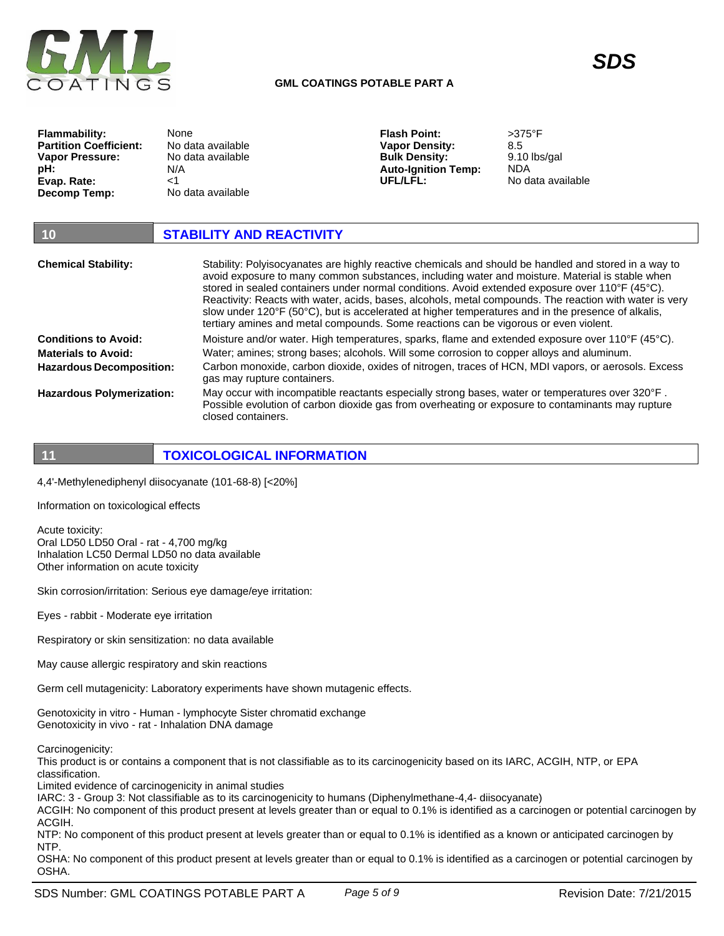

**Flammability: Partition Coefficient: Vapor Pressure:**

**Evap. Rate: Decomp Temp:**

**pH:**

**UFL/LFL:**

| 10                                                        | <b>STABILITY AND REACTIVITY</b>                                                                                                                                                                                                                                                                                                                                                                                                                                                                                                                                                                                      |
|-----------------------------------------------------------|----------------------------------------------------------------------------------------------------------------------------------------------------------------------------------------------------------------------------------------------------------------------------------------------------------------------------------------------------------------------------------------------------------------------------------------------------------------------------------------------------------------------------------------------------------------------------------------------------------------------|
| <b>Chemical Stability:</b>                                | Stability: Polyisocyanates are highly reactive chemicals and should be handled and stored in a way to<br>avoid exposure to many common substances, including water and moisture. Material is stable when<br>stored in sealed containers under normal conditions. Avoid extended exposure over 110°F (45°C).<br>Reactivity: Reacts with water, acids, bases, alcohols, metal compounds. The reaction with water is very<br>slow under 120°F (50°C), but is accelerated at higher temperatures and in the presence of alkalis,<br>tertiary amines and metal compounds. Some reactions can be vigorous or even violent. |
| <b>Conditions to Avoid:</b><br><b>Materials to Avoid:</b> | Moisture and/or water. High temperatures, sparks, flame and extended exposure over 110°F (45°C).<br>Water; amines; strong bases; alcohols. Will some corrosion to copper alloys and aluminum.                                                                                                                                                                                                                                                                                                                                                                                                                        |
| <b>Hazardous Decomposition:</b>                           | Carbon monoxide, carbon dioxide, oxides of nitrogen, traces of HCN, MDI vapors, or aerosols. Excess<br>gas may rupture containers.                                                                                                                                                                                                                                                                                                                                                                                                                                                                                   |
| <b>Hazardous Polymerization:</b>                          | May occur with incompatible reactants especially strong bases, water or temperatures over 320°F.<br>Possible evolution of carbon dioxide gas from overheating or exposure to contaminants may rupture<br>closed containers.                                                                                                                                                                                                                                                                                                                                                                                          |

**11 TOXICOLOGICAL INFORMATION**

4,4'-Methylenediphenyl diisocyanate (101-68-8) [<20%]

None

N/A  $<1$ 

No data available

Information on toxicological effects

Acute toxicity: Oral LD50 LD50 Oral - rat - 4,700 mg/kg Inhalation LC50 Dermal LD50 no data available Other information on acute toxicity

Skin corrosion/irritation: Serious eye damage/eye irritation:

Eyes - rabbit - Moderate eye irritation

Respiratory or skin sensitization: no data available

May cause allergic respiratory and skin reactions

Germ cell mutagenicity: Laboratory experiments have shown mutagenic effects.

Genotoxicity in vitro - Human - lymphocyte Sister chromatid exchange Genotoxicity in vivo - rat - Inhalation DNA damage

Carcinogenicity:

This product is or contains a component that is not classifiable as to its carcinogenicity based on its IARC, ACGIH, NTP, or EPA classification.

Limited evidence of carcinogenicity in animal studies

IARC: 3 - Group 3: Not classifiable as to its carcinogenicity to humans (Diphenylmethane-4,4- diisocyanate)

ACGIH: No component of this product present at levels greater than or equal to 0.1% is identified as a carcinogen or potential carcinogen by ACGIH.

NTP: No component of this product present at levels greater than or equal to 0.1% is identified as a known or anticipated carcinogen by NTP.

OSHA: No component of this product present at levels greater than or equal to 0.1% is identified as a carcinogen or potential carcinogen by OSHA.

*SDS*

No data available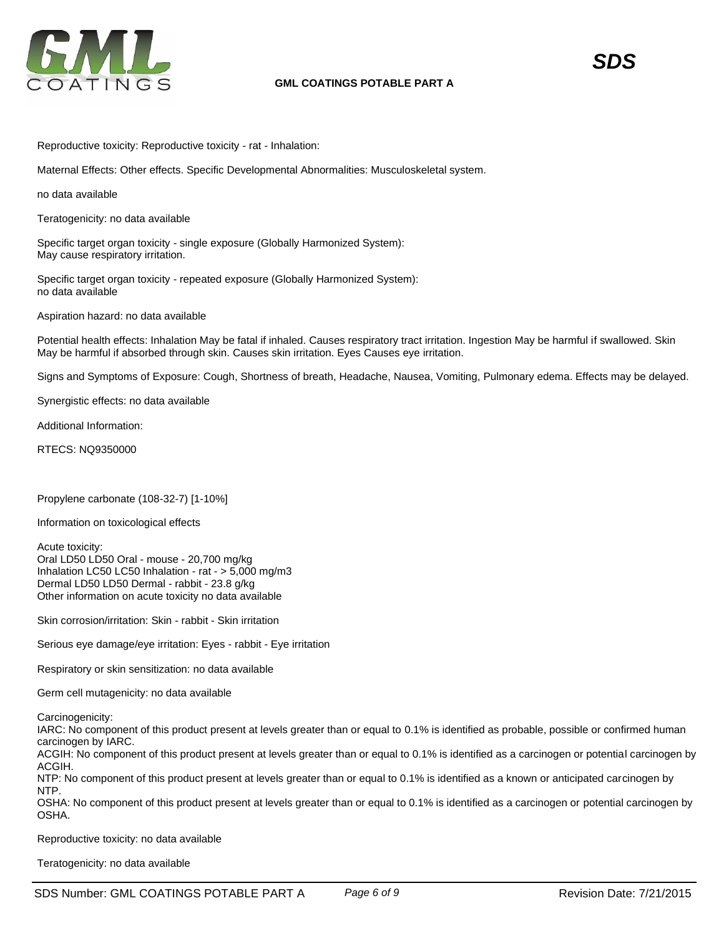

Reproductive toxicity: Reproductive toxicity - rat - Inhalation:

Maternal Effects: Other effects. Specific Developmental Abnormalities: Musculoskeletal system.

no data available

Teratogenicity: no data available

Specific target organ toxicity - single exposure (Globally Harmonized System): May cause respiratory irritation.

Specific target organ toxicity - repeated exposure (Globally Harmonized System): no data available

Aspiration hazard: no data available

Potential health effects: Inhalation May be fatal if inhaled. Causes respiratory tract irritation. Ingestion May be harmful if swallowed. Skin May be harmful if absorbed through skin. Causes skin irritation. Eyes Causes eye irritation.

Signs and Symptoms of Exposure: Cough, Shortness of breath, Headache, Nausea, Vomiting, Pulmonary edema. Effects may be delayed.

Synergistic effects: no data available

Additional Information:

RTECS: NQ9350000

Propylene carbonate (108-32-7) [1-10%]

Information on toxicological effects

Acute toxicity: Oral LD50 LD50 Oral - mouse - 20,700 mg/kg Inhalation LC50 LC50 Inhalation - rat - > 5,000 mg/m3 Dermal LD50 LD50 Dermal - rabbit - 23.8 g/kg Other information on acute toxicity no data available

Skin corrosion/irritation: Skin - rabbit - Skin irritation

Serious eye damage/eye irritation: Eyes - rabbit - Eye irritation

Respiratory or skin sensitization: no data available

Germ cell mutagenicity: no data available

Carcinogenicity:

IARC: No component of this product present at levels greater than or equal to 0.1% is identified as probable, possible or confirmed human carcinogen by IARC.

ACGIH: No component of this product present at levels greater than or equal to 0.1% is identified as a carcinogen or potential carcinogen by ACGIH.

NTP: No component of this product present at levels greater than or equal to 0.1% is identified as a known or anticipated carcinogen by NTP.

OSHA: No component of this product present at levels greater than or equal to 0.1% is identified as a carcinogen or potential carcinogen by OSHA.

Reproductive toxicity: no data available

Teratogenicity: no data available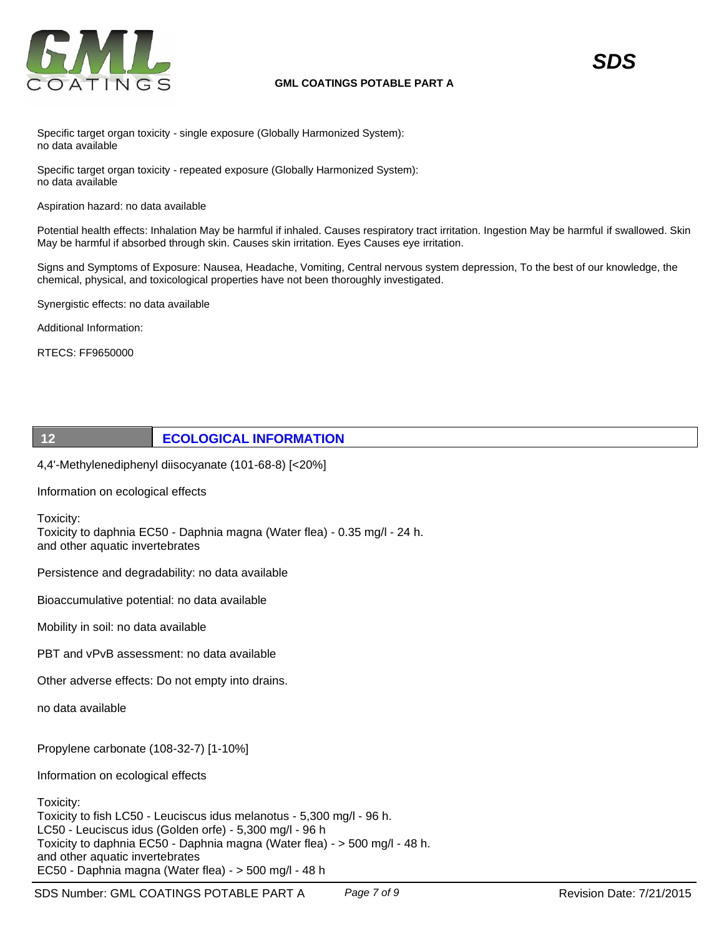

Specific target organ toxicity - single exposure (Globally Harmonized System): no data available

Specific target organ toxicity - repeated exposure (Globally Harmonized System): no data available

Aspiration hazard: no data available

Potential health effects: Inhalation May be harmful if inhaled. Causes respiratory tract irritation. Ingestion May be harmful if swallowed. Skin May be harmful if absorbed through skin. Causes skin irritation. Eyes Causes eye irritation.

Signs and Symptoms of Exposure: Nausea, Headache, Vomiting, Central nervous system depression, To the best of our knowledge, the chemical, physical, and toxicological properties have not been thoroughly investigated.

Synergistic effects: no data available

Additional Information:

RTECS: FF9650000

# **12 ECOLOGICAL INFORMATION**

4,4'-Methylenediphenyl diisocyanate (101-68-8) [<20%]

Information on ecological effects

Toxicity:

Toxicity to daphnia EC50 - Daphnia magna (Water flea) - 0.35 mg/l - 24 h. and other aquatic invertebrates

Persistence and degradability: no data available

Bioaccumulative potential: no data available

Mobility in soil: no data available

PBT and vPvB assessment: no data available

Other adverse effects: Do not empty into drains.

no data available

Propylene carbonate (108-32-7) [1-10%]

Information on ecological effects

Toxicity:

Toxicity to fish LC50 - Leuciscus idus melanotus - 5,300 mg/l - 96 h. LC50 - Leuciscus idus (Golden orfe) - 5,300 mg/l - 96 h Toxicity to daphnia EC50 - Daphnia magna (Water flea) - > 500 mg/l - 48 h. and other aquatic invertebrates EC50 - Daphnia magna (Water flea) - > 500 mg/l - 48 h

SDS Number: GML COATINGS POTABLE PART A *Page 7 of 9* Revision Date: 7/21/2015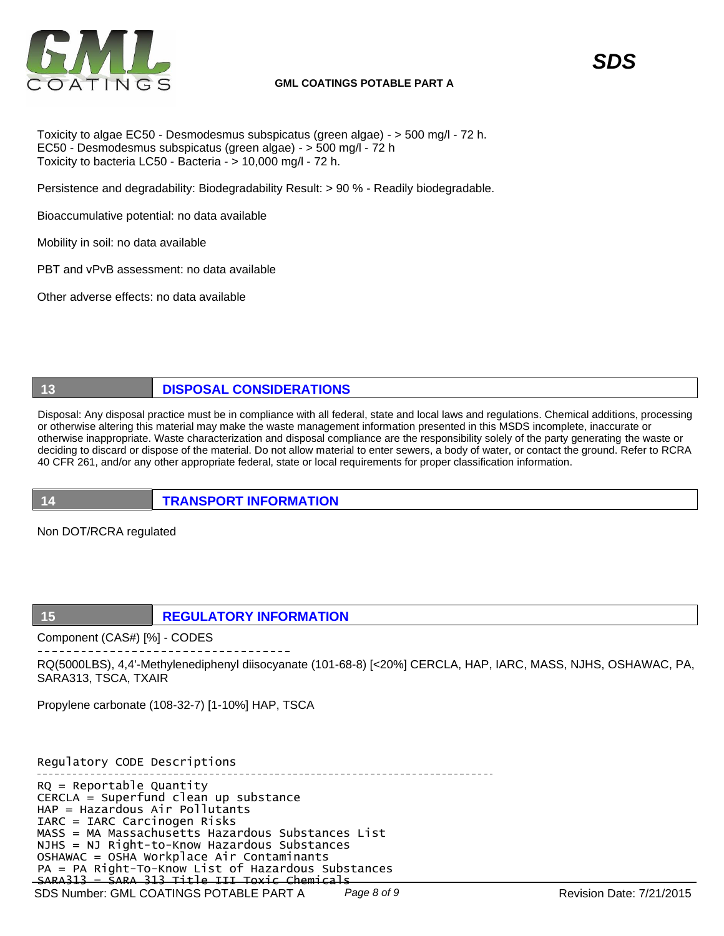

Toxicity to algae EC50 - Desmodesmus subspicatus (green algae) - > 500 mg/l - 72 h. EC50 - Desmodesmus subspicatus (green algae) - > 500 mg/l - 72 h Toxicity to bacteria LC50 - Bacteria - > 10,000 mg/l - 72 h.

Persistence and degradability: Biodegradability Result: > 90 % - Readily biodegradable.

Bioaccumulative potential: no data available

Mobility in soil: no data available

PBT and vPvB assessment: no data available

Other adverse effects: no data available

# **13 DISPOSAL CONSIDERATIONS**

Disposal: Any disposal practice must be in compliance with all federal, state and local laws and regulations. Chemical additions, processing or otherwise altering this material may make the waste management information presented in this MSDS incomplete, inaccurate or otherwise inappropriate. Waste characterization and disposal compliance are the responsibility solely of the party generating the waste or deciding to discard or dispose of the material. Do not allow material to enter sewers, a body of water, or contact the ground. Refer to RCRA 40 CFR 261, and/or any other appropriate federal, state or local requirements for proper classification information.

**14 TRANSPORT INFORMATION**

Non DOT/RCRA regulated

# **15 REGULATORY INFORMATION**

Component (CAS#) [%] - CODES

RQ(5000LBS), 4,4'-Methylenediphenyl diisocyanate (101-68-8) [<20%] CERCLA, HAP, IARC, MASS, NJHS, OSHAWAC, PA, SARA313, TSCA, TXAIR

Propylene carbonate (108-32-7) [1-10%] HAP, TSCA

Regulatory CODE Descriptions

SDS Number: GML COATINGS POTABLE PART A Page 8 of 9 Revision Date: 7/21/2015 RQ = Reportable Quantity CERCLA = Superfund clean up substance HAP = Hazardous Air Pollutants IARC = IARC Carcinogen Risks MASS = MA Massachusetts Hazardous Substances List NJHS = NJ Right-to-Know Hazardous Substances OSHAWAC = OSHA Workplace Air Contaminants PA = PA Right-To-Know List of Hazardous Substances SARA313 = SARA 313 Title III Toxic Chemicals